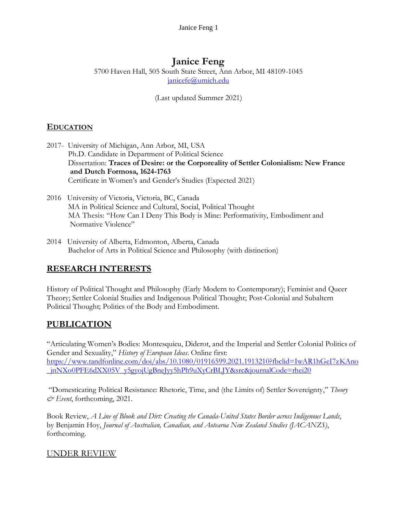# **Janice Feng**

5700 Haven Hall, 505 South State Street, Ann Arbor, MI 48109-1045 [janicefe@umich.edu](mailto:janicefe@umich.edu)

(Last updated Summer 2021)

#### **EDUCATION**

- 2017- University of Michigan, Ann Arbor, MI, USA Ph.D. Candidate in Department of Political Science Dissertation: **Traces of Desire: or the Corporeality of Settler Colonialism: New France and Dutch Formosa, 1624-1763**  Certificate in Women's and Gender's Studies (Expected 2021)
- 2016 University of Victoria, Victoria, BC, Canada MA in Political Science and Cultural, Social, Political Thought MA Thesis: "How Can I Deny This Body is Mine: Performativity, Embodiment and Normative Violence"
- 2014 University of Alberta, Edmonton, Alberta, Canada Bachelor of Arts in Political Science and Philosophy (with distinction)

# **RESEARCH INTERESTS**

History of Political Thought and Philosophy (Early Modern to Contemporary); Feminist and Queer Theory; Settler Colonial Studies and Indigenous Political Thought; Post-Colonial and Subaltern Political Thought; Politics of the Body and Embodiment.

# **PUBLICATION**

"Articulating Women's Bodies: Montesquieu, Diderot, and the Imperial and Settler Colonial Politics of Gender and Sexuality," *History of European Ideas*. Online first: [https://www.tandfonline.com/doi/abs/10.1080/01916599.2021.1913210?fbclid=IwAR1hGeI7zKAno](https://www.tandfonline.com/doi/abs/10.1080/01916599.2021.1913210?fbclid=IwAR1hGeI7zKAno_jnNXo0PFE6dXX05V_y5gyojUgBneJyy5hPh9uXyCrBLJY&src&journalCode=rhei20) [\\_jnNXo0PFE6dXX05V\\_y5gyojUgBneJyy5hPh9uXyCrBLJY&src&journalCode=rhei20](https://www.tandfonline.com/doi/abs/10.1080/01916599.2021.1913210?fbclid=IwAR1hGeI7zKAno_jnNXo0PFE6dXX05V_y5gyojUgBneJyy5hPh9uXyCrBLJY&src&journalCode=rhei20)

"Domesticating Political Resistance: Rhetoric, Time, and (the Limits of) Settler Sovereignty," *Theory & Event*, forthcoming, 2021.

Book Review, *A Line of Blook and Dirt: Creating the Canada-United States Border across Indigenous Lands*, by Benjamin Hoy, *Journal of Australian, Canadian, and Aotearoa New Zealand Studies (JACANZS)*, forthcoming.

#### UNDER REVIEW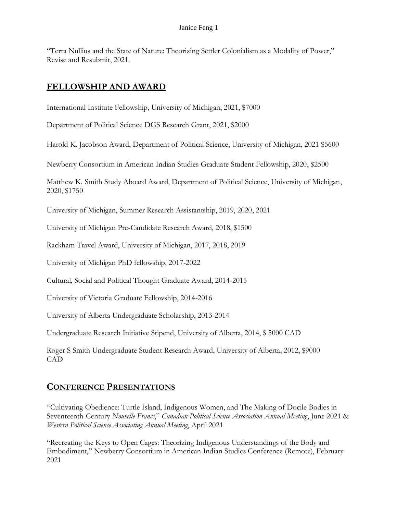"Terra Nullius and the State of Nature: Theorizing Settler Colonialism as a Modality of Power," Revise and Resubmit, 2021.

#### **FELLOWSHIP AND AWARD**

International Institute Fellowship, University of Michigan, 2021, \$7000

Department of Political Science DGS Research Grant, 2021, \$2000

Harold K. Jacobson Award, Department of Political Science, University of Michigan, 2021 \$5600

Newberry Consortium in American Indian Studies Graduate Student Fellowship, 2020, \$2500

Matthew K. Smith Study Aboard Award, Department of Political Science, University of Michigan, 2020, \$1750

University of Michigan, Summer Research Assistantship, 2019, 2020, 2021

University of Michigan Pre-Candidate Research Award, 2018, \$1500

Rackham Travel Award, University of Michigan, 2017, 2018, 2019

University of Michigan PhD fellowship, 2017-2022

Cultural, Social and Political Thought Graduate Award, 2014-2015

University of Victoria Graduate Fellowship, 2014-2016

University of Alberta Undergraduate Scholarship, 2013-2014

Undergraduate Research Initiative Stipend, University of Alberta, 2014, \$ 5000 CAD

Roger S Smith Undergraduate Student Research Award, University of Alberta, 2012, \$9000 CAD

# **CONFERENCE PRESENTATIONS**

"Cultivating Obedience: Turtle Island, Indigenous Women, and The Making of Docile Bodies in Seventeenth-Century *Nouvelle-France*," *Canadian Political Science Association Annual Meeting*, June 2021 & *Western Political Science Associating Annual Meeting*, April 2021

"Recreating the Keys to Open Cages: Theorizing Indigenous Understandings of the Body and Embodiment," Newberry Consortium in American Indian Studies Conference (Remote), February 2021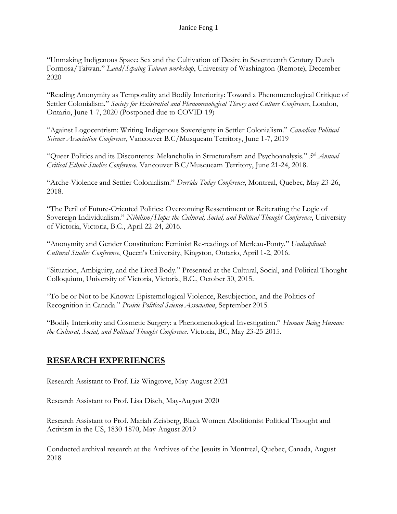"Unmaking Indigenous Space: Sex and the Cultivation of Desire in Seventeenth Century Dutch Formosa/Taiwan." *Land/Scpaing Taiwan workshop*, University of Washington (Remote), December 2020

"Reading Anonymity as Temporality and Bodily Interiority: Toward a Phenomenological Critique of Settler Colonialism*.*" *Society for Existential and Phenomenological Theory and Culture Conference*, London, Ontario, June 1-7, 2020 (Postponed due to COVID-19)

"Against Logocentrism: Writing Indigenous Sovereignty in Settler Colonialism." *Canadian Political Science Association Conference*, Vancouver B.C/Musqueam Territory, June 1-7, 2019

"Queer Politics and its Discontents: Melancholia in Structuralism and Psychoanalysis." *5 th Annual Critical Ethnic Studies Conference*. Vancouver B.C/Musqueam Territory, June 21-24, 2018.

"Arche-Violence and Settler Colonialism." *Derrida Today Conference*, Montreal, Quebec, May 23-26, 2018.

"The Peril of Future-Oriented Politics: Overcoming Ressentiment or Reiterating the Logic of Sovereign Individualism." *Nihilism/Hope: the Cultural, Social, and Political Thought Conference*, University of Victoria, Victoria, B.C., April 22-24, 2016.

"Anonymity and Gender Constitution: Feminist Re-readings of Merleau-Ponty." *Undisiplined: Cultural Studies Conference*, Queen's University, Kingston, Ontario, April 1-2, 2016.

"Situation, Ambiguity, and the Lived Body." Presented at the Cultural, Social, and Political Thought Colloquium, University of Victoria, Victoria, B.C., October 30, 2015.

"To be or Not to be Known: Epistemological Violence, Resubjection, and the Politics of Recognition in Canada." *Prairie Political Science Association*, September 2015.

"Bodily Interiority and Cosmetic Surgery: a Phenomenological Investigation." *Human Being Human: the Cultural, Social, and Political Thought Conference*. Victoria, BC, May 23-25 2015.

# **RESEARCH EXPERIENCES**

Research Assistant to Prof. Liz Wingrove, May-August 2021

Research Assistant to Prof. Lisa Disch, May-August 2020

Research Assistant to Prof. Mariah Zeisberg, Black Women Abolitionist Political Thought and Activism in the US, 1830-1870, May-August 2019

Conducted archival research at the Archives of the Jesuits in Montreal, Quebec, Canada, August 2018